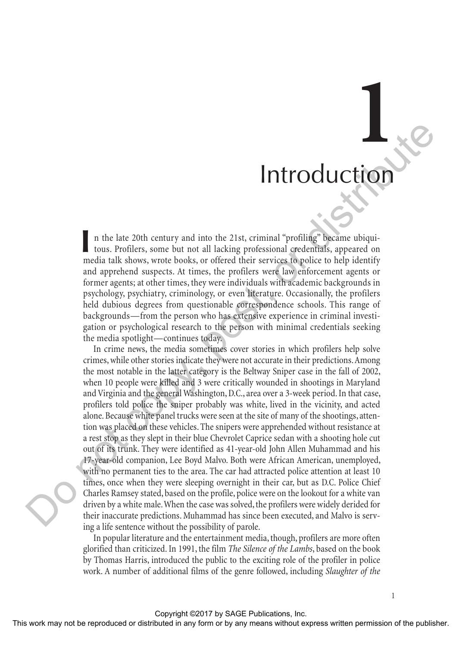# Introduction **1**

**I** n the late 20th century and into the 21st, criminal "profiling" became ubiquitous. Profilers, some but not all lacking professional credentials, appeared on media talk shows, wrote books, or offered their services to police to help identify and apprehend suspects. At times, the profilers were law enforcement agents or former agents; at other times, they were individuals with academic backgrounds in psychology, psychiatry, criminology, or even literature. Occasionally, the profilers held dubious degrees from questionable correspondence schools. This range of backgrounds—from the person who has extensive experience in criminal investigation or psychological research to the person with minimal credentials seeking the media spotlight—continues today.

In crime news, the media sometimes cover stories in which profilers help solve crimes, while other stories indicate they were not accurate in their predictions. Among the most notable in the latter category is the Beltway Sniper case in the fall of 2002, when 10 people were killed and 3 were critically wounded in shootings in Maryland and Virginia and the general Washington, D.C., area over a 3-week period. In that case, profilers told police the sniper probably was white, lived in the vicinity, and acted alone. Because white panel trucks were seen at the site of many of the shootings, attention was placed on these vehicles. The snipers were apprehended without resistance at a rest stop as they slept in their blue Chevrolet Caprice sedan with a shooting hole cut out of its trunk. They were identified as 41-year-old John Allen Muhammad and his 17-year-old companion, Lee Boyd Malvo. Both were African American, unemployed, with no permanent ties to the area. The car had attracted police attention at least 10 times, once when they were sleeping overnight in their car, but as D.C. Police Chief Charles Ramsey stated, based on the profile, police were on the lookout for a white van driven by a white male. When the case was solved, the profilers were widely derided for their inaccurate predictions. Muhammad has since been executed, and Malvo is serving a life sentence without the possibility of parole. **The counter of the reproduced or the reproduced or distributed in any form or by any means we reproduced in any form or the publisher of the publisher of the publisher of the publisher. See, the results were also the pub** 

In popular literature and the entertainment media, though, profilers are more often glorified than criticized. In 1991, the film *The Silence of the Lambs*, based on the book by Thomas Harris, introduced the public to the exciting role of the profiler in police work. A number of additional films of the genre followed, including *Slaughter of the* 

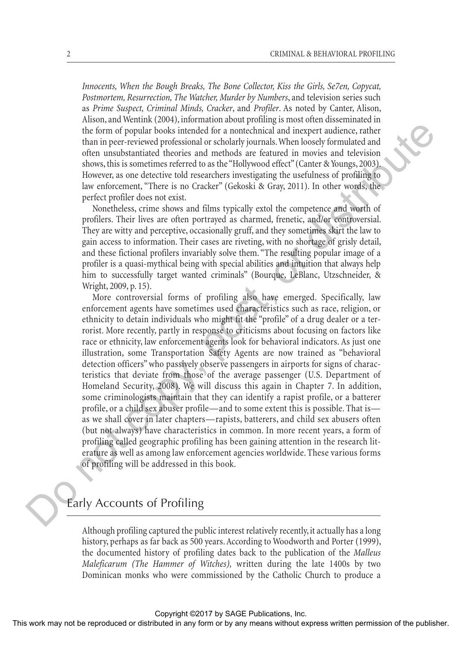*Innocents, When the Bough Breaks, The Bone Collector, Kiss the Girls, Se7en, Copycat, Postmortem, Resurrection, The Watcher, Murder by Numbers*, and television series such as *Prime Suspect, Criminal Minds, Cracker*, and *Profiler*. As noted by Canter, Alison, Alison, and Wentink (2004), information about profiling is most often disseminated in the form of popular books intended for a nontechnical and inexpert audience, rather than in peer-reviewed professional or scholarly journals. When loosely formulated and often unsubstantiated theories and methods are featured in movies and television shows, this is sometimes referred to as the "Hollywood effect" (Canter & Youngs, 2003). However, as one detective told researchers investigating the usefulness of profiling to law enforcement, "There is no Cracker" (Gekoski & Gray, 2011). In other words, the perfect profiler does not exist.

Nonetheless, crime shows and films typically extol the competence and worth of profilers. Their lives are often portrayed as charmed, frenetic, and/or controversial. They are witty and perceptive, occasionally gruff, and they sometimes skirt the law to gain access to information. Their cases are riveting, with no shortage of grisly detail, and these fictional profilers invariably solve them. "The resulting popular image of a profiler is a quasi-mythical being with special abilities and intuition that always help him to successfully target wanted criminals" (Bourque, LeBlanc, Utzschneider, & Wright, 2009, p. 15).

More controversial forms of profiling also have emerged. Specifically, law enforcement agents have sometimes used characteristics such as race, religion, or ethnicity to detain individuals who might fit the "profile" of a drug dealer or a terrorist. More recently, partly in response to criticisms about focusing on factors like race or ethnicity, law enforcement agents look for behavioral indicators. As just one illustration, some Transportation Safety Agents are now trained as "behavioral detection officers" who passively observe passengers in airports for signs of characteristics that deviate from those of the average passenger (U.S. Department of Homeland Security, 2008). We will discuss this again in Chapter 7. In addition, some criminologists maintain that they can identify a rapist profile, or a batterer profile, or a child sex abuser profile—and to some extent this is possible. That is as we shall cover in later chapters—rapists, batterers, and child sex abusers often (but not always) have characteristics in common. In more recent years, a form of profiling called geographic profiling has been gaining attention in the research literature as well as among law enforcement agencies worldwide. These various forms of profiling will be addressed in this book. The form of pointing the simulation in a mean controlled in a mean the reproduced in any form or better and the restore and the restore and the restore and the simulation of the restore and the simulation of the publisher

## Early Accounts of Profiling

Although profiling captured the public interest relatively recently, it actually has a long history, perhaps as far back as 500 years. According to Woodworth and Porter (1999), the documented history of profiling dates back to the publication of the *Malleus Maleficarum (The Hammer of Witches),* written during the late 1400s by two Dominican monks who were commissioned by the Catholic Church to produce a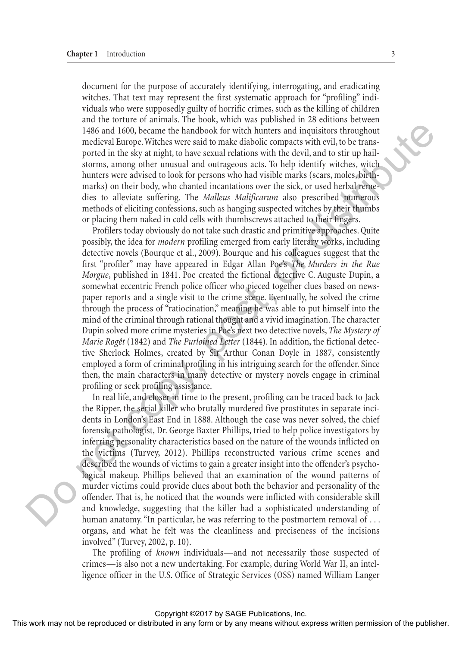document for the purpose of accurately identifying, interrogating, and eradicating witches. That text may represent the first systematic approach for "profiling" individuals who were supposedly guilty of horrific crimes, such as the killing of children and the torture of animals. The book, which was published in 28 editions between 1486 and 1600, became the handbook for witch hunters and inquisitors throughout medieval Europe. Witches were said to make diabolic compacts with evil, to be transported in the sky at night, to have sexual relations with the devil, and to stir up hailstorms, among other unusual and outrageous acts. To help identify witches, witch hunters were advised to look for persons who had visible marks (scars, moles, birthmarks) on their body, who chanted incantations over the sick, or used herbal remedies to alleviate suffering. The *Malleus Malificarum* also prescribed numerous methods of eliciting confessions, such as hanging suspected witches by their thumbs or placing them naked in cold cells with thumbscrews attached to their fingers.

Profilers today obviously do not take such drastic and primitive approaches. Quite possibly, the idea for *modern* profiling emerged from early literary works, including detective novels (Bourque et al., 2009). Bourque and his colleagues suggest that the first "profiler" may have appeared in Edgar Allan Poe's *The Murders in the Rue Morgue*, published in 1841. Poe created the fictional detective C. Auguste Dupin, a somewhat eccentric French police officer who pieced together clues based on newspaper reports and a single visit to the crime scene. Eventually, he solved the crime through the process of "ratiocination," meaning he was able to put himself into the mind of the criminal through rational thought and a vivid imagination. The character Dupin solved more crime mysteries in Poe's next two detective novels, *The Mystery of Marie Rogêt* (1842) and *The Purloined Letter* (1844). In addition, the fictional detective Sherlock Holmes, created by Sir Arthur Conan Doyle in 1887, consistently employed a form of criminal profiling in his intriguing search for the offender. Since then, the main characters in many detective or mystery novels engage in criminal profiling or seek profiling assistance. The form (160), the reproduced or distributed in any form or by any form or by any form or by any means with the response were also the publisher or the publisher. The publishers were also that the publishers were also to

In real life, and closer in time to the present, profiling can be traced back to Jack the Ripper, the serial killer who brutally murdered five prostitutes in separate incidents in London's East End in 1888. Although the case was never solved, the chief forensic pathologist, Dr. George Baxter Phillips, tried to help police investigators by inferring personality characteristics based on the nature of the wounds inflicted on the victims (Turvey, 2012). Phillips reconstructed various crime scenes and described the wounds of victims to gain a greater insight into the offender's psychological makeup. Phillips believed that an examination of the wound patterns of murder victims could provide clues about both the behavior and personality of the offender. That is, he noticed that the wounds were inflicted with considerable skill and knowledge, suggesting that the killer had a sophisticated understanding of human anatomy. "In particular, he was referring to the postmortem removal of . . . organs, and what he felt was the cleanliness and preciseness of the incisions involved" (Turvey, 2002, p. 10).

The profiling of *known* individuals—and not necessarily those suspected of crimes—is also not a new undertaking. For example, during World War II, an intelligence officer in the U.S. Office of Strategic Services (OSS) named William Langer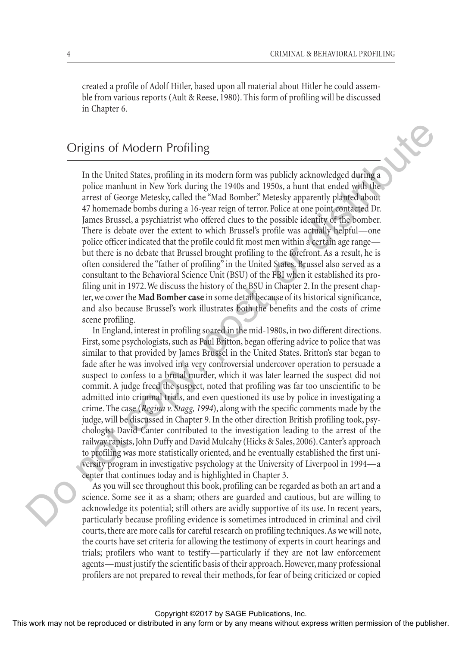created a profile of Adolf Hitler, based upon all material about Hitler he could assemble from various reports (Ault & Reese, 1980). This form of profiling will be discussed in Chapter 6.

# Origins of Modern Profiling

In the United States, profiling in its modern form was publicly acknowledged during a police manhunt in New York during the 1940s and 1950s, a hunt that ended with the arrest of George Metesky, called the "Mad Bomber." Metesky apparently planted about 47 homemade bombs during a 16-year reign of terror. Police at one point contacted Dr. James Brussel, a psychiatrist who offered clues to the possible identity of the bomber. There is debate over the extent to which Brussel's profile was actually helpful—one police officer indicated that the profile could fit most men within a certain age range but there is no debate that Brussel brought profiling to the forefront. As a result, he is often considered the "father of profiling" in the United States. Brussel also served as a consultant to the Behavioral Science Unit (BSU) of the FBI when it established its profiling unit in 1972. We discuss the history of the BSU in Chapter 2. In the present chapter, we cover the **Mad Bomber case** in some detail because of its historical significance, and also because Brussel's work illustrates both the benefits and the costs of crime scene profiling.

In England, interest in profiling soared in the mid-1980s, in two different directions. First, some psychologists, such as Paul Britton, began offering advice to police that was similar to that provided by James Brussel in the United States. Britton's star began to fade after he was involved in a very controversial undercover operation to persuade a suspect to confess to a brutal murder, which it was later learned the suspect did not commit. A judge freed the suspect, noted that profiling was far too unscientific to be admitted into criminal trials, and even questioned its use by police in investigating a crime. The case (*Regina v. Stagg, 1994*), along with the specific comments made by the judge, will be discussed in Chapter 9. In the other direction British profiling took, psychologist David Canter contributed to the investigation leading to the arrest of the railway rapists, John Duffy and David Mulcahy (Hicks & Sales, 2006). Canter's approach to profiling was more statistically oriented, and he eventually established the first university program in investigative psychology at the University of Liverpool in 1994—a center that continues today and is highlighted in Chapter 3. Origins of Modern Profiling<br>
In the relation is noten (some syndisky actoroide) calculated in<br>the results of control or by any means with the results of the relationship of<br>the representation of the publisher. And a produ

As you will see throughout this book, profiling can be regarded as both an art and a science. Some see it as a sham; others are guarded and cautious, but are willing to acknowledge its potential; still others are avidly supportive of its use. In recent years, particularly because profiling evidence is sometimes introduced in criminal and civil courts, there are more calls for careful research on profiling techniques. As we will note, the courts have set criteria for allowing the testimony of experts in court hearings and trials; profilers who want to testify—particularly if they are not law enforcement agents—must justify the scientific basis of their approach. However, many professional profilers are not prepared to reveal their methods, for fear of being criticized or copied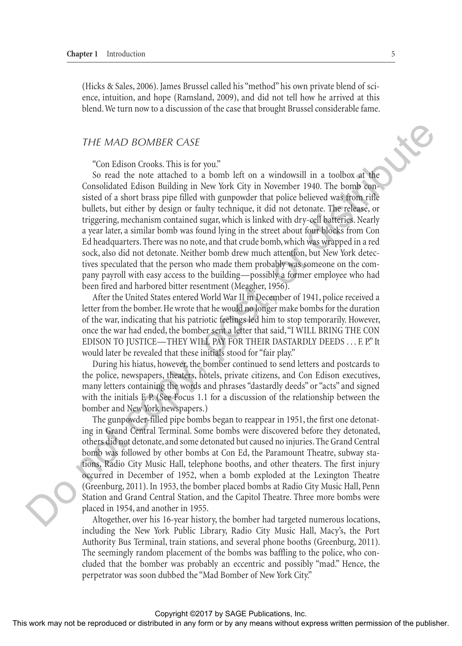(Hicks & Sales, 2006). James Brussel called his "method" his own private blend of science, intuition, and hope (Ramsland, 2009), and did not tell how he arrived at this blend. We turn now to a discussion of the case that brought Brussel considerable fame.

#### *THE MAD BOMBER CASE*

"Con Edison Crooks. This is for you."

So read the note attached to a bomb left on a windowsill in a toolbox at the Consolidated Edison Building in New York City in November 1940. The bomb consisted of a short brass pipe filled with gunpowder that police believed was from rifle bullets, but either by design or faulty technique, it did not detonate. The release, or triggering, mechanism contained sugar, which is linked with dry-cell batteries. Nearly a year later, a similar bomb was found lying in the street about four blocks from Con Ed headquarters. There was no note, and that crude bomb, which was wrapped in a red sock, also did not detonate. Neither bomb drew much attention, but New York detectives speculated that the person who made them probably was someone on the company payroll with easy access to the building—possibly a former employee who had been fired and harbored bitter resentment (Meagher, 1956). THE MAD BOMBER CASE<br>
"Con Likhoo Creeks, this is for you."<br>
So read the rest are studied to a boson be related to a non-barber 1980. The boson behavior<br>Considered alone and the rest are the rest and the publisher. The stu

After the United States entered World War II in December of 1941, police received a letter from the bomber. He wrote that he would no longer make bombs for the duration of the war, indicating that his patriotic feelings led him to stop temporarily. However, once the war had ended, the bomber sent a letter that said, "I WILL BRING THE CON EDISON TO JUSTICE—THEY WILL PAY FOR THEIR DASTARDLY DEEDS . . . F. P." It would later be revealed that these initials stood for "fair play."

During his hiatus, however, the bomber continued to send letters and postcards to the police, newspapers, theaters, hotels, private citizens, and Con Edison executives, many letters containing the words and phrases "dastardly deeds" or "acts" and signed with the initials F. P. (See Focus 1.1 for a discussion of the relationship between the bomber and New York newspapers.)

The gunpowder-filled pipe bombs began to reappear in 1951, the first one detonating in Grand Central Terminal. Some bombs were discovered before they detonated, others did not detonate, and some detonated but caused no injuries. The Grand Central bomb was followed by other bombs at Con Ed, the Paramount Theatre, subway stations, Radio City Music Hall, telephone booths, and other theaters. The first injury occurred in December of 1952, when a bomb exploded at the Lexington Theatre (Greenburg, 2011). In 1953, the bomber placed bombs at Radio City Music Hall, Penn Station and Grand Central Station, and the Capitol Theatre. Three more bombs were placed in 1954, and another in 1955.

Altogether, over his 16-year history, the bomber had targeted numerous locations, including the New York Public Library, Radio City Music Hall, Macy's, the Port Authority Bus Terminal, train stations, and several phone booths (Greenburg, 2011). The seemingly random placement of the bombs was baffling to the police, who concluded that the bomber was probably an eccentric and possibly "mad." Hence, the perpetrator was soon dubbed the "Mad Bomber of New York City."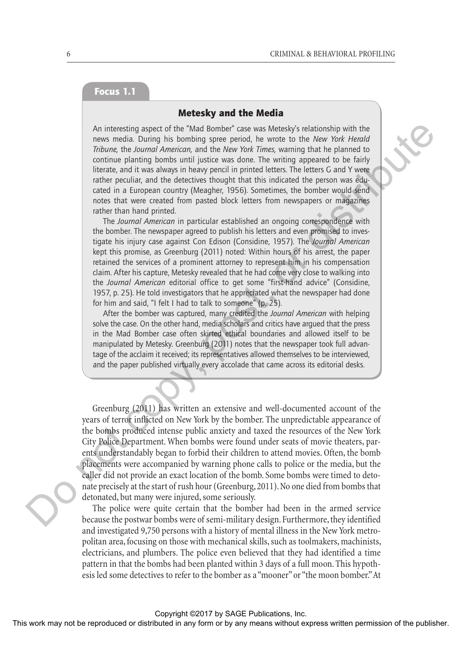## Focus 1.1

#### Metesky and the Media

An interesting aspect of the "Mad Bomber" case was Metesky's relationship with the news media. During his bombing spree period, he wrote to the *New York Herald Tribune,* the *Journal American,* and the *New York Times,* warning that he planned to continue planting bombs until justice was done. The writing appeared to be fairly literate, and it was always in heavy pencil in printed letters. The letters G and Y were rather peculiar, and the detectives thought that this indicated the person was educated in a European country (Meagher, 1956). Sometimes, the bomber would send notes that were created from pasted block letters from newspapers or magazines rather than hand printed.

The *Journal American* in particular established an ongoing correspondence with the bomber. The newspaper agreed to publish his letters and even promised to investigate his injury case against Con Edison (Considine, 1957). The *Journal American* kept this promise, as Greenburg (2011) noted: Within hours of his arrest, the paper retained the services of a prominent attorney to represent him in his compensation claim. After his capture, Metesky revealed that he had come very close to walking into the *Journal American* editorial office to get some "first-hand advice" (Considine, 1957, p. 25). He told investigators that he appreciated what the newspaper had done for him and said, "I felt I had to talk to someone" (p. 25).

After the bomber was captured, many credited the *Journal American* with helping solve the case. On the other hand, media scholars and critics have argued that the press in the Mad Bomber case often skirted ethical boundaries and allowed itself to be manipulated by Metesky. Greenburg (2011) notes that the newspaper took full advantage of the acclaim it received; its representatives allowed themselves to be interviewed, and the paper published virtually every accolade that came across its editorial desks.

Greenburg (2011) has written an extensive and well-documented account of the years of terror inflicted on New York by the bomber. The unpredictable appearance of the bombs produced intense public anxiety and taxed the resources of the New York City Police Department. When bombs were found under seats of movie theaters, parents understandably began to forbid their children to attend movies. Often, the bomb placements were accompanied by warning phone calls to police or the media, but the caller did not provide an exact location of the bomb. Some bombs were timed to detonate precisely at the start of rush hour (Greenburg, 2011). No one died from bombs that detonated, but many were injured, some seriously. An interaction any form or by an interaction or distributed in any form or by any form or by any form or by any form or by any form or by any form or by any form or by any form or by any form or by any form or by any form

The police were quite certain that the bomber had been in the armed service because the postwar bombs were of semi-military design. Furthermore, they identified and investigated 9,750 persons with a history of mental illness in the New York metropolitan area, focusing on those with mechanical skills, such as toolmakers, machinists, electricians, and plumbers. The police even believed that they had identified a time pattern in that the bombs had been planted within 3 days of a full moon. This hypothesis led some detectives to refer to the bomber as a "mooner" or "the moon bomber." At

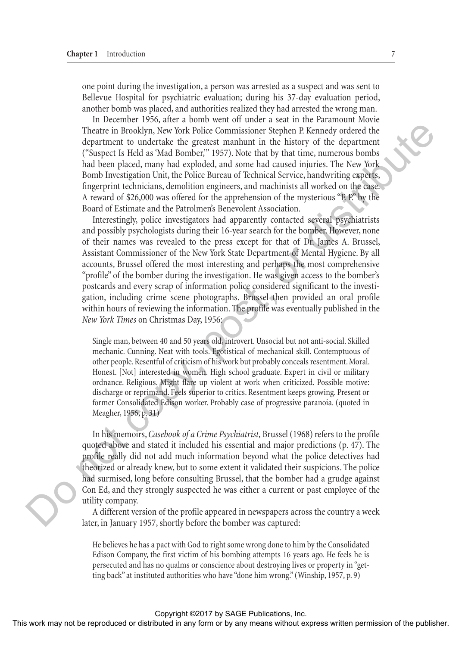one point during the investigation, a person was arrested as a suspect and was sent to Bellevue Hospital for psychiatric evaluation; during his 37-day evaluation period, another bomb was placed, and authorities realized they had arrested the wrong man.

In December 1956, after a bomb went off under a seat in the Paramount Movie Theatre in Brooklyn, New York Police Commissioner Stephen P. Kennedy ordered the department to undertake the greatest manhunt in the history of the department ("Suspect Is Held as 'Mad Bomber,'" 1957). Note that by that time, numerous bombs had been placed, many had exploded, and some had caused injuries. The New York Bomb Investigation Unit, the Police Bureau of Technical Service, handwriting experts, fingerprint technicians, demolition engineers, and machinists all worked on the case. A reward of \$26,000 was offered for the apprehension of the mysterious "F. P." by the Board of Estimate and the Patrolmen's Benevolent Association.

Interestingly, police investigators had apparently contacted several psychiatrists and possibly psychologists during their 16-year search for the bomber. However, none of their names was revealed to the press except for that of Dr. James A. Brussel, Assistant Commissioner of the New York State Department of Mental Hygiene. By all accounts, Brussel offered the most interesting and perhaps the most comprehensive "profile" of the bomber during the investigation. He was given access to the bomber's postcards and every scrap of information police considered significant to the investigation, including crime scene photographs. Brussel then provided an oral profile within hours of reviewing the information. The profile was eventually published in the *New York Times* on Christmas Day, 1956: Theats it is broaden by both behavior and the relation controlled in any means in Euclidean Computer to the reproduced in any means when the relation of the relation of the relation of the relation of the relation of the

Single man, between 40 and 50 years old, introvert. Unsocial but not anti-social. Skilled mechanic. Cunning. Neat with tools. Egotistical of mechanical skill. Contemptuous of other people. Resentful of criticism of his work but probably conceals resentment. Moral. Honest. [Not] interested in women. High school graduate. Expert in civil or military ordnance. Religious. Might flare up violent at work when criticized. Possible motive: discharge or reprimand. Feels superior to critics. Resentment keeps growing. Present or former Consolidated Edison worker. Probably case of progressive paranoia. (quoted in Meagher, 1956, p. 31)

In his memoirs, *Casebook of a Crime Psychiatrist*, Brussel (1968) refers to the profile quoted above and stated it included his essential and major predictions (p. 47). The profile really did not add much information beyond what the police detectives had theorized or already knew, but to some extent it validated their suspicions. The police had surmised, long before consulting Brussel, that the bomber had a grudge against Con Ed, and they strongly suspected he was either a current or past employee of the utility company.

A different version of the profile appeared in newspapers across the country a week later, in January 1957, shortly before the bomber was captured:

He believes he has a pact with God to right some wrong done to him by the Consolidated Edison Company, the first victim of his bombing attempts 16 years ago. He feels he is persecuted and has no qualms or conscience about destroying lives or property in "getting back" at instituted authorities who have "done him wrong." (Winship, 1957, p. 9)

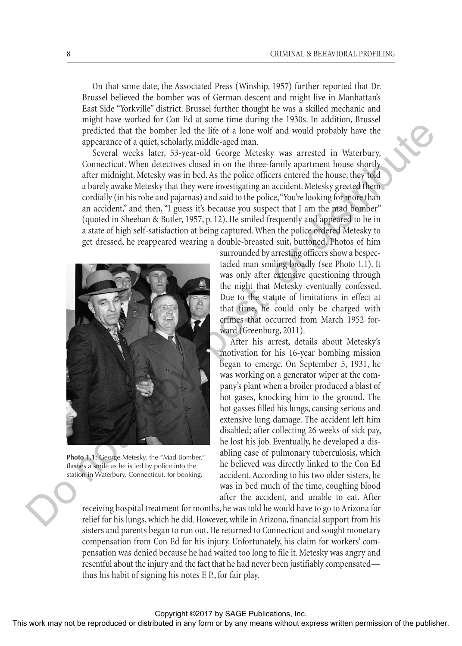On that same date, the Associated Press (Winship, 1957) further reported that Dr. Brussel believed the bomber was of German descent and might live in Manhattan's East Side "Yorkville" district. Brussel further thought he was a skilled mechanic and might have worked for Con Ed at some time during the 1930s. In addition, Brussel predicted that the bomber led the life of a lone wolf and would probably have the appearance of a quiet, scholarly, middle-aged man.

Several weeks later, 53-year-old George Metesky was arrested in Waterbury, Connecticut. When detectives closed in on the three-family apartment house shortly after midnight, Metesky was in bed. As the police officers entered the house, they told a barely awake Metesky that they were investigating an accident. Metesky greeted them cordially (in his robe and pajamas) and said to the police, "You're looking for more than an accident," and then, "I guess it's because you suspect that I am the mad bomber" (quoted in Sheehan & Butler, 1957, p. 12). He smiled frequently and appeared to be in a state of high self-satisfaction at being captured. When the police ordered Metesky to get dressed, he reappeared wearing a double-breasted suit, buttoned. Photos of him



**Photo 1.1:** George Metesky, the "Mad Bomber," flashes a smile as he is led by police into the station in Waterbury, Connecticut, for booking.

surrounded by arresting officers show a bespectacled man smiling broadly (see Photo 1.1). It was only after extensive questioning through the night that Metesky eventually confessed. Due to the statute of limitations in effect at that time, he could only be charged with crimes that occurred from March 1952 forward (Greenburg, 2011).

After his arrest, details about Metesky's motivation for his 16-year bombing mission began to emerge. On September 5, 1931, he was working on a generator wiper at the company's plant when a broiler produced a blast of hot gases, knocking him to the ground. The hot gasses filled his lungs, causing serious and extensive lung damage. The accident left him disabled; after collecting 26 weeks of sick pay, he lost his job. Eventually, he developed a disabling case of pulmonary tuberculosis, which he believed was directly linked to the Con Ed accident. According to his two older sisters, he was in bed much of the time, coughing blood after the accident, and unable to eat. After

receiving hospital treatment for months, he was told he would have to go to Arizona for relief for his lungs, which he did. However, while in Arizona, financial support from his sisters and parents began to run out. He returned to Connecticut and sought monetary compensation from Con Ed for his injury. Unfortunately, his claim for workers' compensation was denied because he had waited too long to file it. Metesky was angry and resentful about the injury and the fact that he had never been justifiably compensated thus his habit of signing his notes F. P., for fair play.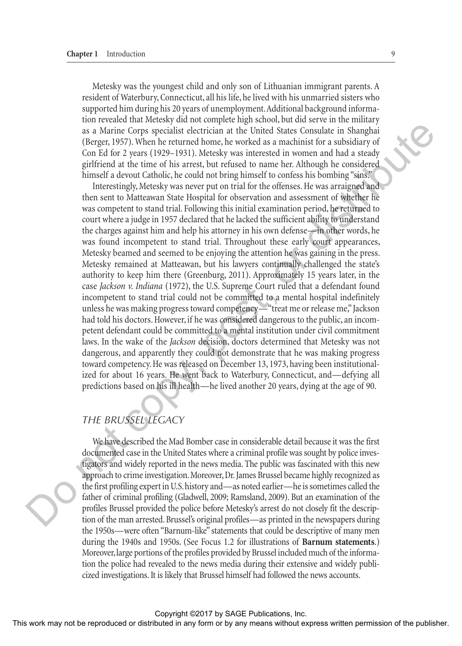Metesky was the youngest child and only son of Lithuanian immigrant parents. A resident of Waterbury, Connecticut, all his life, he lived with his unmarried sisters who supported him during his 20 years of unemployment. Additional background information revealed that Metesky did not complete high school, but did serve in the military as a Marine Corps specialist electrician at the United States Consulate in Shanghai (Berger, 1957). When he returned home, he worked as a machinist for a subsidiary of Con Ed for 2 years (1929–1931). Metesky was interested in women and had a steady girlfriend at the time of his arrest, but refused to name her. Although he considered himself a devout Catholic, he could not bring himself to confess his bombing "sins."

Interestingly, Metesky was never put on trial for the offenses. He was arraigned and then sent to Matteawan State Hospital for observation and assessment of whether he was competent to stand trial. Following this initial examination period, he returned to court where a judge in 1957 declared that he lacked the sufficient ability to understand the charges against him and help his attorney in his own defense—in other words, he was found incompetent to stand trial. Throughout these early court appearances, Metesky beamed and seemed to be enjoying the attention he was gaining in the press. Metesky remained at Matteawan, but his lawyers continually challenged the state's authority to keep him there (Greenburg, 2011). Approximately 15 years later, in the case *Jackson v. Indiana* (1972), the U.S. Supreme Court ruled that a defendant found incompetent to stand trial could not be committed to a mental hospital indefinitely unless he was making progress toward competency—"treat me or release me," Jackson had told his doctors. However, if he was considered dangerous to the public, an incompetent defendant could be committed to a mental institution under civil commitment laws. In the wake of the *Jackson* decision, doctors determined that Metesky was not dangerous, and apparently they could not demonstrate that he was making progress toward competency. He was released on December 13, 1973, having been institutionalized for about 16 years. He went back to Waterbury, Connecticut, and—defying all predictions based on his ill health—he lived another 20 years, dying at the age of 90. The repression of the relation of the relation or the behavior in the relation of the reproduced or distributed in a state of the response of the relationship of Case is the relationship of the relationship of the relatio

# *THE BRUSSEL LEGACY*

documented case in the United States where a criminal profile was sought by police investigators and widely reported in the news media. The public was fascinated with this new approach to crime investigation. Moreover, Dr. James Brussel became highly recognized as the first profiling expert in U.S. history and—as noted earlier—he is sometimes called the father of criminal profiling (Gladwell, 2009; Ramsland, 2009). But an examination of the profiles Brussel provided the police before Metesky's arrest do not closely fit the description of the man arrested. Brussel's original profiles—as printed in the newspapers during the 1950s—were often "Barnum-like" statements that could be descriptive of many men during the 1940s and 1950s. (See Focus 1.2 for illustrations of **Barnum statements**.) Moreover, large portions of the profiles provided by Brussel included much of the information the police had revealed to the news media during their extensive and widely publicized investigations. It is likely that Brussel himself had followed the news accounts.

We have described the Mad Bomber case in considerable detail because it was the first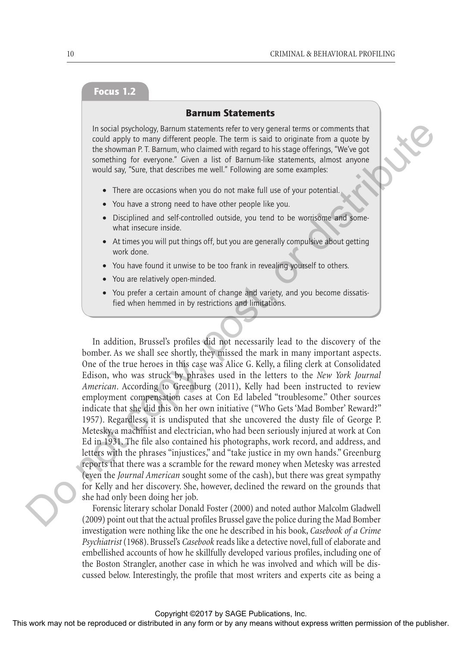## Focus 1.2

#### Barnum Statements

In social psychology, Barnum statements refer to very general terms or comments that could apply to many different people. The term is said to originate from a quote by the showman P. T. Barnum, who claimed with regard to his stage offerings, "We've got something for everyone." Given a list of Barnum-like statements, almost anyone would say, "Sure, that describes me well." Following are some examples:

- There are occasions when you do not make full use of your potential.
- You have a strong need to have other people like you.
- Disciplined and self-controlled outside, you tend to be worrisome and somewhat insecure inside.
- At times you will put things off, but you are generally compulsive about getting work done.
- You have found it unwise to be too frank in revealing yourself to others.
- You are relatively open-minded.
- You prefer a certain amount of change and variety, and you become dissatisfied when hemmed in by restrictions and limitations.

In addition, Brussel's profiles did not necessarily lead to the discovery of the bomber. As we shall see shortly, they missed the mark in many important aspects. One of the true heroes in this case was Alice G. Kelly, a filing clerk at Consolidated Edison, who was struck by phrases used in the letters to the *New York Journal American*. According to Greenburg (2011), Kelly had been instructed to review employment compensation cases at Con Ed labeled "troublesome." Other sources indicate that she did this on her own initiative ("Who Gets 'Mad Bomber' Reward?" 1957). Regardless, it is undisputed that she uncovered the dusty file of George P. Metesky, a machinist and electrician, who had been seriously injured at work at Con Ed in 1931. The file also contained his photographs, work record, and address, and letters with the phrases "injustices," and "take justice in my own hands." Greenburg reports that there was a scramble for the reward money when Metesky was arrested (even the *Journal American* sought some of the cash), but there was great sympathy for Kelly and her discovery. She, however, declined the reward on the grounds that she had only been doing her job. The could are expressed or the repression of the reproduced in any means which are a smaller than the response with the reproduced in the signal distributed in any means were considered in a smaller than  $\mu$ . The respons

Forensic literary scholar Donald Foster (2000) and noted author Malcolm Gladwell (2009) point out that the actual profiles Brussel gave the police during the Mad Bomber investigation were nothing like the one he described in his book, *Casebook of a Crime Psychiatrist* (1968). Brussel's *Casebook* reads like a detective novel, full of elaborate and embellished accounts of how he skillfully developed various profiles, including one of the Boston Strangler, another case in which he was involved and which will be discussed below. Interestingly, the profile that most writers and experts cite as being a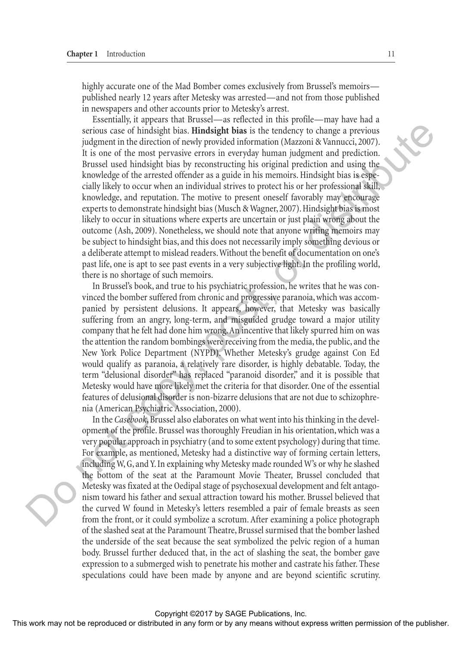highly accurate one of the Mad Bomber comes exclusively from Brussel's memoirs published nearly 12 years after Metesky was arrested—and not from those published in newspapers and other accounts prior to Metesky's arrest.

Essentially, it appears that Brussel—as reflected in this profile—may have had a serious case of hindsight bias. **Hindsight bias** is the tendency to change a previous judgment in the direction of newly provided information (Mazzoni & Vannucci, 2007). It is one of the most pervasive errors in everyday human judgment and prediction. Brussel used hindsight bias by reconstructing his original prediction and using the knowledge of the arrested offender as a guide in his memoirs. Hindsight bias is especially likely to occur when an individual strives to protect his or her professional skill, knowledge, and reputation. The motive to present oneself favorably may encourage experts to demonstrate hindsight bias (Musch & Wagner, 2007). Hindsight bias is most likely to occur in situations where experts are uncertain or just plain wrong about the outcome (Ash, 2009). Nonetheless, we should note that anyone writing memoirs may be subject to hindsight bias, and this does not necessarily imply something devious or a deliberate attempt to mislead readers. Without the benefit of documentation on one's past life, one is apt to see past events in a very subjective light. In the profiling world, there is no shortage of such memoirs.

In Brussel's book, and true to his psychiatric profession, he writes that he was convinced the bomber suffered from chronic and progressive paranoia, which was accompanied by persistent delusions. It appears, however, that Metesky was basically suffering from an angry, long-term, and misguided grudge toward a major utility company that he felt had done him wrong. An incentive that likely spurred him on was the attention the random bombings were receiving from the media, the public, and the New York Police Department (NYPD). Whether Metesky's grudge against Con Ed would qualify as paranoia, a relatively rare disorder, is highly debatable. Today, the term "delusional disorder" has replaced "paranoid disorder," and it is possible that Metesky would have more likely met the criteria for that disorder. One of the essential features of delusional disorder is non-bizarre delusions that are not due to schizophrenia (American Psychiatric Association, 2000).

In the *Casebook*, Brussel also elaborates on what went into his thinking in the development of the profile. Brussel was thoroughly Freudian in his orientation, which was a very popular approach in psychiatry (and to some extent psychology) during that time. For example, as mentioned, Metesky had a distinctive way of forming certain letters, including W, G, and Y. In explaining why Metesky made rounded W's or why he slashed the bottom of the seat at the Paramount Movie Theater, Brussel concluded that Metesky was fixated at the Oedipal stage of psychosexual development and felt antagonism toward his father and sexual attraction toward his mother. Brussel believed that the curved W found in Metesky's letters resembled a pair of female breasts as seen from the front, or it could symbolize a scrotum. After examining a police photograph of the slashed seat at the Paramount Theatre, Brussel surmised that the bomber lashed the underside of the seat because the seat symbolized the pelvic region of a human body. Brussel further deduced that, in the act of slashing the seat, the bomber gave expression to a submerged wish to penetrate his mother and castrate his father. These speculations could have been made by anyone and are beyond scientific scrutiny. streins or as in Form of the rest in the test method in the rest contents and the rest or the reproduced or distributed in any means we can be reproduced in the strength content in any means we can be represented or the m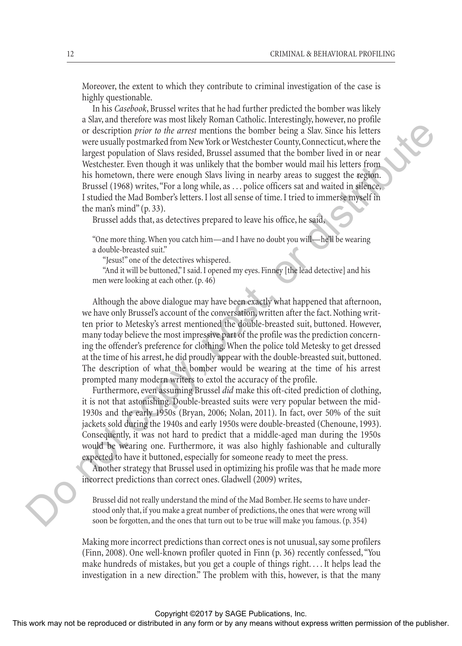Moreover, the extent to which they contribute to criminal investigation of the case is highly questionable.

In his *Casebook*, Brussel writes that he had further predicted the bomber was likely a Slav, and therefore was most likely Roman Catholic. Interestingly, however, no profile or description *prior to the arrest* mentions the bomber being a Slav. Since his letters were usually postmarked from New York or Westchester County, Connecticut, where the largest population of Slavs resided, Brussel assumed that the bomber lived in or near Westchester. Even though it was unlikely that the bomber would mail his letters from his hometown, there were enough Slavs living in nearby areas to suggest the region. Brussel (1968) writes, "For a long while, as ... police officers sat and waited in silence, I studied the Mad Bomber's letters. I lost all sense of time. I tried to immerse myself in the man's mind" (p. 33). or description of what means we have repressed to the reproduced in any form or by any means we reproduced in any means we reproduced in any means we reproduced in any means we reproduced in any means we reproduced in any

Brussel adds that, as detectives prepared to leave his office, he said,

"One more thing. When you catch him—and I have no doubt you will—he'll be wearing a double-breasted suit."

"Jesus!" one of the detectives whispered.

"And it will be buttoned," I said. I opened my eyes. Finney [the lead detective] and his men were looking at each other. (p. 46)

Although the above dialogue may have been exactly what happened that afternoon, we have only Brussel's account of the conversation, written after the fact. Nothing written prior to Metesky's arrest mentioned the double-breasted suit, buttoned. However, many today believe the most impressive part of the profile was the prediction concerning the offender's preference for clothing. When the police told Metesky to get dressed at the time of his arrest, he did proudly appear with the double-breasted suit, buttoned. The description of what the bomber would be wearing at the time of his arrest prompted many modern writers to extol the accuracy of the profile.

Furthermore, even assuming Brussel *did* make this oft-cited prediction of clothing, it is not that astonishing. Double-breasted suits were very popular between the mid-1930s and the early 1950s (Bryan, 2006; Nolan, 2011). In fact, over 50% of the suit jackets sold during the 1940s and early 1950s were double-breasted (Chenoune, 1993). Consequently, it was not hard to predict that a middle-aged man during the 1950s would be wearing one. Furthermore, it was also highly fashionable and culturally expected to have it buttoned, especially for someone ready to meet the press.

Another strategy that Brussel used in optimizing his profile was that he made more incorrect predictions than correct ones. Gladwell (2009) writes,

Brussel did not really understand the mind of the Mad Bomber. He seems to have understood only that, if you make a great number of predictions, the ones that were wrong will soon be forgotten, and the ones that turn out to be true will make you famous. (p. 354)

Making more incorrect predictions than correct ones is not unusual, say some profilers (Finn, 2008). One well-known profiler quoted in Finn (p. 36) recently confessed, "You make hundreds of mistakes, but you get a couple of things right. . . . It helps lead the investigation in a new direction." The problem with this, however, is that the many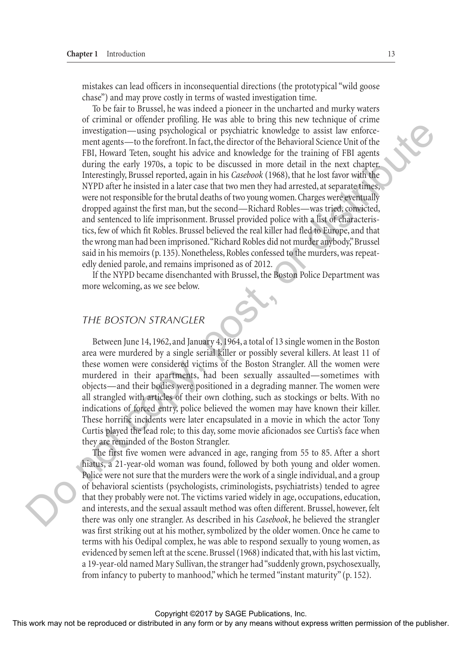mistakes can lead officers in inconsequential directions (the prototypical "wild goose chase") and may prove costly in terms of wasted investigation time.

To be fair to Brussel, he was indeed a pioneer in the uncharted and murky waters of criminal or offender profiling. He was able to bring this new technique of crime investigation—using psychological or psychiatric knowledge to assist law enforcement agents—to the forefront. In fact, the director of the Behavioral Science Unit of the FBI, Howard Teten, sought his advice and knowledge for the training of FBI agents during the early 1970s, a topic to be discussed in more detail in the next chapter. Interestingly, Brussel reported, again in his *Casebook* (1968), that he lost favor with the NYPD after he insisted in a later case that two men they had arrested, at separate times, were not responsible for the brutal deaths of two young women. Charges were eventually dropped against the first man, but the second—Richard Robles—was tried, convicted, and sentenced to life imprisonment. Brussel provided police with a list of characteristics, few of which fit Robles. Brussel believed the real killer had fled to Europe, and that the wrong man had been imprisoned. "Richard Robles did not murder anybody," Brussel said in his memoirs (p. 135). Nonetheless, Robles confessed to the murders, was repeatedly denied parole, and remains imprisoned as of 2012. The expression or distributed or distributed in a set of the reproduced or distributed in any form or by a state of the reproduced in any means with the results to the the publisher. This were also that the publisher and

If the NYPD became disenchanted with Brussel, the Boston Police Department was more welcoming, as we see below.

#### *THE BOSTON STRANGLER*

Between June 14, 1962, and January 4, 1964, a total of 13 single women in the Boston area were murdered by a single serial killer or possibly several killers. At least 11 of these women were considered victims of the Boston Strangler. All the women were murdered in their apartments, had been sexually assaulted—sometimes with objects—and their bodies were positioned in a degrading manner. The women were all strangled with articles of their own clothing, such as stockings or belts. With no indications of forced entry, police believed the women may have known their killer. These horrific incidents were later encapsulated in a movie in which the actor Tony Curtis played the lead role; to this day, some movie aficionados see Curtis's face when they are reminded of the Boston Strangler.

The first five women were advanced in age, ranging from 55 to 85. After a short hiatus, a 21-year-old woman was found, followed by both young and older women. Police were not sure that the murders were the work of a single individual, and a group of behavioral scientists (psychologists, criminologists, psychiatrists) tended to agree that they probably were not. The victims varied widely in age, occupations, education, and interests, and the sexual assault method was often different. Brussel, however, felt there was only one strangler. As described in his *Casebook*, he believed the strangler was first striking out at his mother, symbolized by the older women. Once he came to terms with his Oedipal complex, he was able to respond sexually to young women, as evidenced by semen left at the scene. Brussel (1968) indicated that, with his last victim, a 19-year-old named Mary Sullivan, the stranger had "suddenly grown, psychosexually, from infancy to puberty to manhood," which he termed "instant maturity" (p. 152).

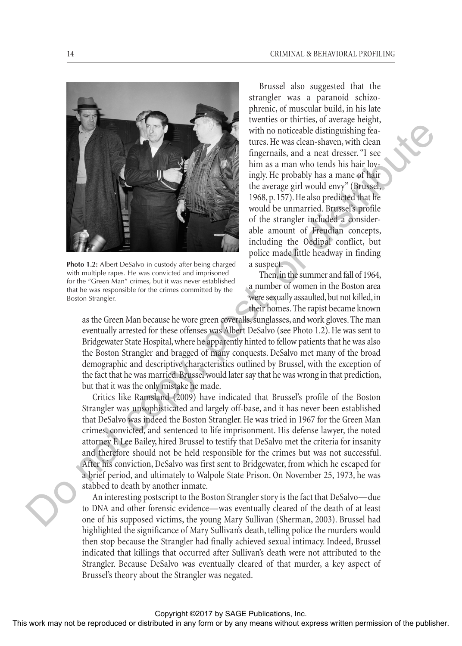

**Photo 1.2:** Albert DeSalvo in custody after being charged with multiple rapes. He was convicted and imprisoned for the "Green Man" crimes, but it was never established that he was responsible for the crimes committed by the Boston Strangler.

Brussel also suggested that the strangler was a paranoid schizophrenic, of muscular build, in his late twenties or thirties, of average height, with no noticeable distinguishing features. He was clean-shaven, with clean fingernails, and a neat dresser. "I see him as a man who tends his hair lovingly. He probably has a mane of hair the average girl would envy" (Brussel, 1968, p. 157). He also predicted that he would be unmarried. Brussel's profile of the strangler included a considerable amount of Freudian concepts, including the Oedipal conflict, but police made little headway in finding a suspect.

Then, in the summer and fall of 1964, a number of women in the Boston area were sexually assaulted, but not killed, in their homes. The rapist became known

as the Green Man because he wore green coveralls, sunglasses, and work gloves. The man eventually arrested for these offenses was Albert DeSalvo (see Photo 1.2). He was sent to Bridgewater State Hospital, where he apparently hinted to fellow patients that he was also the Boston Strangler and bragged of many conquests. DeSalvo met many of the broad demographic and descriptive characteristics outlined by Brussel, with the exception of the fact that he was married. Brussel would later say that he was wrong in that prediction, but that it was the only mistake he made.

Critics like Ramsland (2009) have indicated that Brussel's profile of the Boston Strangler was unsophisticated and largely off-base, and it has never been established that DeSalvo was indeed the Boston Strangler. He was tried in 1967 for the Green Man crimes, convicted, and sentenced to life imprisonment. His defense lawyer, the noted attorney F. Lee Bailey, hired Brussel to testify that DeSalvo met the criteria for insanity and therefore should not be held responsible for the crimes but was not successful. After his conviction, DeSalvo was first sent to Bridgewater, from which he escaped for a brief period, and ultimately to Walpole State Prison. On November 25, 1973, he was stabbed to death by another inmate. The contributed in any means with the control or distributed in any form of the publisher and the control or the publisher and the publisher and the publisher and the publisher and the publisher and the publisher and the

An interesting postscript to the Boston Strangler story is the fact that DeSalvo—due to DNA and other forensic evidence—was eventually cleared of the death of at least one of his supposed victims, the young Mary Sullivan (Sherman, 2003). Brussel had highlighted the significance of Mary Sullivan's death, telling police the murders would then stop because the Strangler had finally achieved sexual intimacy. Indeed, Brussel indicated that killings that occurred after Sullivan's death were not attributed to the Strangler. Because DeSalvo was eventually cleared of that murder, a key aspect of Brussel's theory about the Strangler was negated.

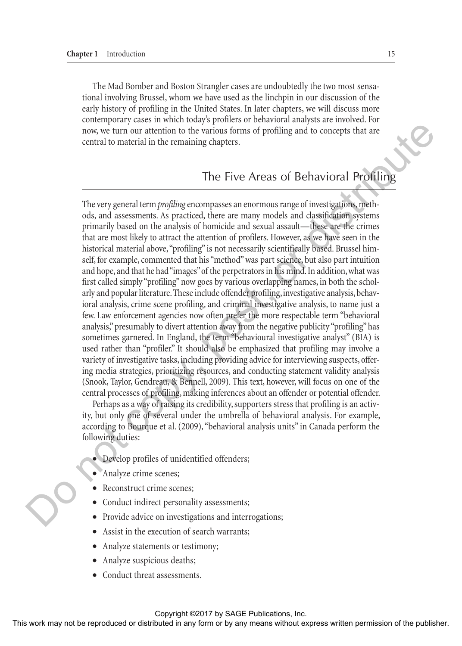The Mad Bomber and Boston Strangler cases are undoubtedly the two most sensational involving Brussel, whom we have used as the linchpin in our discussion of the early history of profiling in the United States. In later chapters, we will discuss more contemporary cases in which today's profilers or behavioral analysts are involved. For now, we turn our attention to the various forms of profiling and to concepts that are central to material in the remaining chapters.

# The Five Areas of Behavioral Profiling

The very general term *profiling* encompasses an enormous range of investigations, methods, and assessments. As practiced, there are many models and classification systems primarily based on the analysis of homicide and sexual assault—these are the crimes that are most likely to attract the attention of profilers. However, as we have seen in the historical material above, "profiling" is not necessarily scientifically based. Brussel himself, for example, commented that his "method" was part science, but also part intuition and hope, and that he had "images" of the perpetrators in his mind. In addition, what was first called simply "profiling" now goes by various overlapping names, in both the scholarly and popular literature. These include offender profiling, investigative analysis, behavioral analysis, crime scene profiling, and criminal investigative analysis, to name just a few. Law enforcement agencies now often prefer the more respectable term "behavioral analysis," presumably to divert attention away from the negative publicity "profiling" has sometimes garnered. In England, the term "behavioural investigative analyst" (BIA) is used rather than "profiler." It should also be emphasized that profiling may involve a variety of investigative tasks, including providing advice for interviewing suspects, offering media strategies, prioritizing resources, and conducting statement validity analysis (Snook, Taylor, Gendreau, & Bennell, 2009). This text, however, will focus on one of the central processes of profiling, making inferences about an offender or potential offender. now, we furn can attention to the varieties from software or distributed in any controlling<br>
The reproduced in the carriering chapters.<br>
The Fiver Areas of Rehavioral Profilling<br>
The express area controlling in any form o

Perhaps as a way of raising its credibility, supporters stress that profiling is an activity, but only one of several under the umbrella of behavioral analysis. For example, according to Bourque et al. (2009), "behavioral analysis units" in Canada perform the following duties:

- Develop profiles of unidentified offenders;
- Analyze crime scenes;
- Reconstruct crime scenes;
- Conduct indirect personality assessments;
- Provide advice on investigations and interrogations;
- Assist in the execution of search warrants;
- Analyze statements or testimony;
- Analyze suspicious deaths;
- Conduct threat assessments.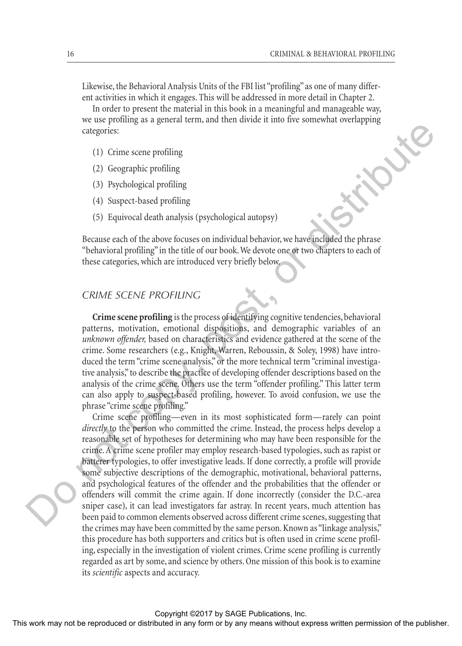Likewise, the Behavioral Analysis Units of the FBI list "profiling" as one of many different activities in which it engages. This will be addressed in more detail in Chapter 2.

In order to present the material in this book in a meaningful and manageable way, we use profiling as a general term, and then divide it into five somewhat overlapping categories:

- (1) Crime scene profiling
- (2) Geographic profiling
- (3) Psychological profiling
- (4) Suspect-based profiling
- (5) Equivocal death analysis (psychological autopsy)

Because each of the above focuses on individual behavior, we have included the phrase "behavioral profiling" in the title of our book. We devote one or two chapters to each of these categories, which are introduced very briefly below.

#### *CRIME SCENE PROFILING*

**Crime scene profiling** is the process of identifying cognitive tendencies, behavioral patterns, motivation, emotional dispositions, and demographic variables of an *unknown offender,* based on characteristics and evidence gathered at the scene of the crime. Some researchers (e.g., Knight, Warren, Reboussin, & Soley, 1998) have introduced the term "crime scene analysis," or the more technical term "criminal investigative analysis," to describe the practice of developing offender descriptions based on the analysis of the crime scene. Others use the term "offender profiling." This latter term can also apply to suspect-based profiling, however. To avoid confusion, we use the phrase "crime scene profiling."

Crime scene profiling—even in its most sophisticated form—rarely can point *directly* to the person who committed the crime. Instead, the process helps develop a reasonable set of hypotheses for determining who may have been responsible for the crime. A crime scene profiler may employ research-based typologies, such as rapist or batterer typologies, to offer investigative leads. If done correctly, a profile will provide some subjective descriptions of the demographic, motivational, behavioral patterns, and psychological features of the offender and the probabilities that the offender or offenders will commit the crime again. If done incorrectly (consider the D.C.-area sniper case), it can lead investigators far astray. In recent years, much attention has been paid to common elements observed across different crime scenes, suggesting that the crimes may have been committed by the same person. Known as "linkage analysis," this procedure has both supporters and critics but is often used in crime scene profiling, especially in the investigation of violent crimes. Crime scene profiling is currently regarded as art by some, and science by others. One mission of this book is to examine its *scientific* aspects and accuracy. The representation of the reproduced or distributed or distributed in any form or by any means with the reproduced or by any means without express with the reproduced in any form or by any form or by any form or by any me

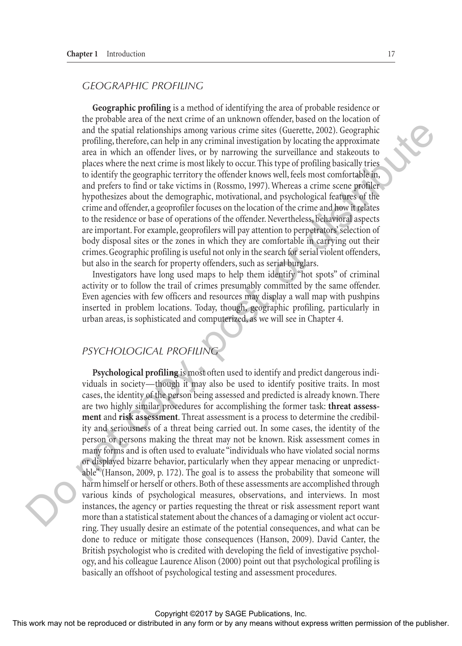#### *GEOGRAPHIC PROFILING*

**Geographic profiling** is a method of identifying the area of probable residence or the probable area of the next crime of an unknown offender, based on the location of and the spatial relationships among various crime sites (Guerette, 2002). Geographic profiling, therefore, can help in any criminal investigation by locating the approximate area in which an offender lives, or by narrowing the surveillance and stakeouts to places where the next crime is most likely to occur. This type of profiling basically tries to identify the geographic territory the offender knows well, feels most comfortable in, and prefers to find or take victims in (Rossmo, 1997). Whereas a crime scene profiler hypothesizes about the demographic, motivational, and psychological features of the crime and offender, a geoprofiler focuses on the location of the crime and how it relates to the residence or base of operations of the offender. Nevertheless, behavioral aspects are important. For example, geoprofilers will pay attention to perpetrators' selection of body disposal sites or the zones in which they are comfortable in carrying out their crimes. Geographic profiling is useful not only in the search for serial violent offenders, but also in the search for property offenders, such as serial burglars.

Investigators have long used maps to help them identify "hot spots" of criminal activity or to follow the trail of crimes presumably committed by the same offender. Even agencies with few officers and resources may display a wall map with pushpins inserted in problem locations. Today, though, geographic profiling, particularly in urban areas, is sophisticated and computerized, as we will see in Chapter 4.

## *PSYCHOLOGICAL PROFILING*

**Psychological profiling** is most often used to identify and predict dangerous individuals in society—though it may also be used to identify positive traits. In most cases, the identity of the person being assessed and predicted is already known. There are two highly similar procedures for accomplishing the former task: **threat assessment** and **risk assessment**. Threat assessment is a process to determine the credibility and seriousness of a threat being carried out. In some cases, the identity of the person or persons making the threat may not be known. Risk assessment comes in many forms and is often used to evaluate "individuals who have violated social norms or displayed bizarre behavior, particularly when they appear menacing or unpredictable" (Hanson, 2009, p. 172). The goal is to assess the probability that someone will harm himself or herself or others. Both of these assessments are accomplished through various kinds of psychological measures, observations, and interviews. In most instances, the agency or parties requesting the threat or risk assessment report want more than a statistical statement about the chances of a damaging or violent act occurring. They usually desire an estimate of the potential consequences, and what can be done to reduce or mitigate those consequences (Hanson, 2009). David Canter, the British psychologist who is credited with developing the field of investigative psychology, and his colleague Laurence Alison (2000) point out that psychological profiling is basically an offshoot of psychological testing and assessment procedures. and the spatial relations are not by any means with so the result of the reproduced or distributed in a means in a which any express written are in a which and show the publisher and state and the publisher. The state of

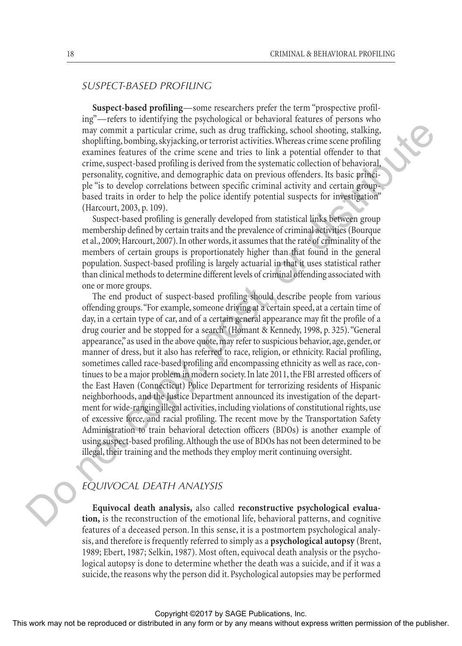#### *SUSPECT-BASED PROFILING*

**Suspect-based profiling**—some researchers prefer the term "prospective profiling"—refers to identifying the psychological or behavioral features of persons who may commit a particular crime, such as drug trafficking, school shooting, stalking, shoplifting, bombing, skyjacking, or terrorist activities. Whereas crime scene profiling examines features of the crime scene and tries to link a potential offender to that crime, suspect-based profiling is derived from the systematic collection of behavioral, personality, cognitive, and demographic data on previous offenders. Its basic principle "is to develop correlations between specific criminal activity and certain groupbased traits in order to help the police identify potential suspects for investigation" (Harcourt, 2003, p. 109).

Suspect-based profiling is generally developed from statistical links between group membership defined by certain traits and the prevalence of criminal activities (Bourque et al., 2009; Harcourt, 2007). In other words, it assumes that the rate of criminality of the members of certain groups is proportionately higher than that found in the general population. Suspect-based profiling is largely actuarial in that it uses statistical rather than clinical methods to determine different levels of criminal offending associated with one or more groups.

The end product of suspect-based profiling should describe people from various offending groups. "For example, someone driving at a certain speed, at a certain time of day, in a certain type of car, and of a certain general appearance may fit the profile of a drug courier and be stopped for a search" (Homant & Kennedy, 1998, p. 325). "General appearance," as used in the above quote, may refer to suspicious behavior, age, gender, or manner of dress, but it also has referred to race, religion, or ethnicity. Racial profiling, sometimes called race-based profiling and encompassing ethnicity as well as race, continues to be a major problem in modern society. In late 2011, the FBI arrested officers of the East Haven (Connecticut) Police Department for terrorizing residents of Hispanic neighborhoods, and the Justice Department announced its investigation of the department for wide-ranging illegal activities, including violations of constitutional rights, use of excessive force, and racial profiling. The recent move by the Transportation Safety Administration to train behavioral detection officers (BDOs) is another example of using suspect-based profiling. Although the use of BDOs has not been determined to be illegal, their training and the methods they employ merit continuing oversight. This may not be repressed or distributed or distributed or distributed in any form or by an expression or the computed or distributed to the reproduced or distributed in any means when the control or distributed in the pos

### *EQUIVOCAL DEATH ANALYSIS*

**Equivocal death analysis,** also called **reconstructive psychological evaluation,** is the reconstruction of the emotional life, behavioral patterns, and cognitive features of a deceased person. In this sense, it is a postmortem psychological analysis, and therefore is frequently referred to simply as a **psychological autopsy** (Brent, 1989; Ebert, 1987; Selkin, 1987). Most often, equivocal death analysis or the psychological autopsy is done to determine whether the death was a suicide, and if it was a suicide, the reasons why the person did it. Psychological autopsies may be performed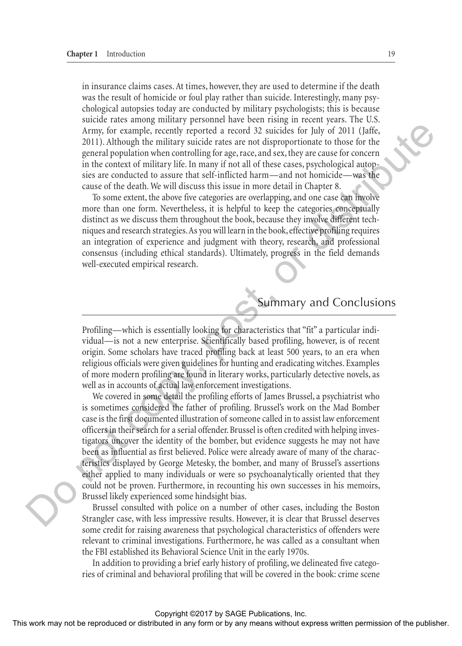in insurance claims cases. At times, however, they are used to determine if the death was the result of homicide or foul play rather than suicide. Interestingly, many psychological autopsies today are conducted by military psychologists; this is because suicide rates among military personnel have been rising in recent years. The U.S. Army, for example, recently reported a record 32 suicides for July of 2011 (Jaffe, 2011). Although the military suicide rates are not disproportionate to those for the general population when controlling for age, race, and sex, they are cause for concern in the context of military life. In many if not all of these cases, psychological autopsies are conducted to assure that self-inflicted harm—and not homicide—was the cause of the death. We will discuss this issue in more detail in Chapter 8.

To some extent, the above five categories are overlapping, and one case can involve more than one form. Nevertheless, it is helpful to keep the categories conceptually distinct as we discuss them throughout the book, because they involve different techniques and research strategies. As you will learn in the book, effective profiling requires an integration of experience and judgment with theory, research, and professional consensus (including ethical standards). Ultimately, progress in the field demands well-executed empirical research.

# Summary and Conclusions

Profiling—which is essentially looking for characteristics that "fit" a particular individual—is not a new enterprise. Scientifically based profiling, however, is of recent origin. Some scholars have traced profiling back at least 500 years, to an era when religious officials were given guidelines for hunting and eradicating witches. Examples of more modern profiling are found in literary works, particularly detective novels, as well as in accounts of actual law enforcement investigations.

We covered in some detail the profiling efforts of James Brussel, a psychiatrist who is sometimes considered the father of profiling. Brussel's work on the Mad Bomber case is the first documented illustration of someone called in to assist law enforcement officers in their search for a serial offender. Brussel is often credited with helping investigators uncover the identity of the bomber, but evidence suggests he may not have been as influential as first believed. Police were already aware of many of the characteristics displayed by George Metesky, the bomber, and many of Brussel's assertions either applied to many individuals or were so psychoanalytically oriented that they could not be proven. Furthermore, in recounting his own successes in his memoirs, Brussel likely experienced some hindsight bias. A start of exacts may not be repressed to the reproduced or distributed in any form or better and the reproduced or distributed in any form or by any form or by any means with the publisher of the contents of the fitting

Brussel consulted with police on a number of other cases, including the Boston Strangler case, with less impressive results. However, it is clear that Brussel deserves some credit for raising awareness that psychological characteristics of offenders were relevant to criminal investigations. Furthermore, he was called as a consultant when the FBI established its Behavioral Science Unit in the early 1970s.

In addition to providing a brief early history of profiling, we delineated five categories of criminal and behavioral profiling that will be covered in the book: crime scene